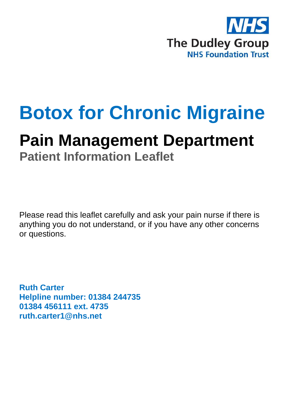

# **Botox for Chronic Migraine**

## **Pain Management Department**

**Patient Information Leaflet**

Please read this leaflet carefully and ask your pain nurse if there is anything you do not understand, or if you have any other concerns or questions.

**Ruth Carter Helpline number: 01384 244735 01384 456111 ext. 4735 ruth.carter1@nhs.net**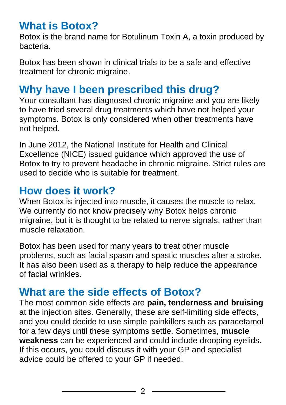#### **What is Botox?**

Botox is the brand name for Botulinum Toxin A, a toxin produced by bacteria.

Botox has been shown in clinical trials to be a safe and effective treatment for chronic migraine.

#### **Why have I been prescribed this drug?**

Your consultant has diagnosed chronic migraine and you are likely to have tried several drug treatments which have not helped your symptoms. Botox is only considered when other treatments have not helped.

In June 2012, the National Institute for Health and Clinical Excellence (NICE) issued guidance which approved the use of Botox to try to prevent headache in chronic migraine. Strict rules are used to decide who is suitable for treatment.

#### **How does it work?**

When Botox is injected into muscle, it causes the muscle to relax. We currently do not know precisely why Botox helps chronic migraine, but it is thought to be related to nerve signals, rather than muscle relaxation.

Botox has been used for many years to treat other muscle problems, such as facial spasm and spastic muscles after a stroke. It has also been used as a therapy to help reduce the appearance of facial wrinkles.

#### **What are the side effects of Botox?**

The most common side effects are **pain, tenderness and bruising**  at the injection sites. Generally, these are self-limiting side effects, and you could decide to use simple painkillers such as paracetamol for a few days until these symptoms settle. Sometimes, **muscle weakness** can be experienced and could include drooping eyelids. If this occurs, you could discuss it with your GP and specialist advice could be offered to your GP if needed.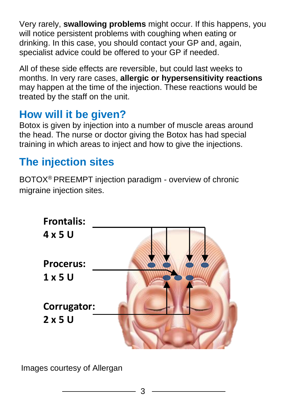Very rarely, **swallowing problems** might occur. If this happens, you will notice persistent problems with coughing when eating or drinking. In this case, you should contact your GP and, again, specialist advice could be offered to your GP if needed.

All of these side effects are reversible, but could last weeks to months. In very rare cases, **allergic or hypersensitivity reactions**  may happen at the time of the injection. These reactions would be treated by the staff on the unit.

### **How will it be given?**

Botox is given by injection into a number of muscle areas around the head. The nurse or doctor giving the Botox has had special training in which areas to inject and how to give the injections.

## **The injection sites**

BOTOX® PREEMPT injection paradigm - overview of chronic migraine injection sites.



Images courtesy of Allergan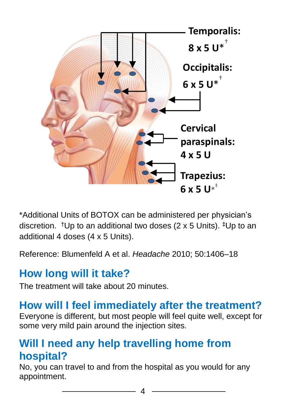

\*Additional Units of BOTOX can be administered per physician's discretion. <sup>†</sup>Up to an additional two doses (2 x 5 Units).  ${}^{\ddagger}$ Up to an additional 4 doses (4 x 5 Units).

Reference: Blumenfeld A et al. *Headache* 2010; 50:1406–18

#### **How long will it take?**

The treatment will take about 20 minutes.

#### **How will I feel immediately after the treatment?**

Everyone is different, but most people will feel quite well, except for some very mild pain around the injection sites.

#### **Will I need any help travelling home from hospital?**

No, you can travel to and from the hospital as you would for any appointment.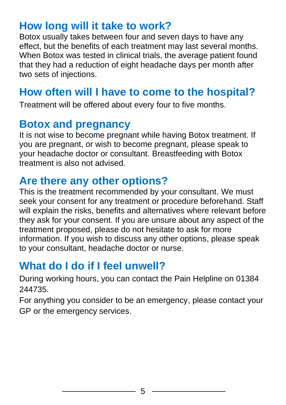#### **How long will it take to work?**

Botox usually takes between four and seven days to have any effect, but the benefits of each treatment may last several months. When Botox was tested in clinical trials, the average patient found that they had a reduction of eight headache days per month after two sets of injections.

#### **How often will I have to come to the hospital?**

Treatment will be offered about every four to five months.

#### **Botox and pregnancy**

It is not wise to become pregnant while having Botox treatment. If you are pregnant, or wish to become pregnant, please speak to your headache doctor or consultant. Breastfeeding with Botox treatment is also not advised.

#### **Are there any other options?**

This is the treatment recommended by your consultant. We must seek your consent for any treatment or procedure beforehand. Staff will explain the risks, benefits and alternatives where relevant before they ask for your consent. If you are unsure about any aspect of the treatment proposed, please do not hesitate to ask for more information. If you wish to discuss any other options, please speak to your consultant, headache doctor or nurse.

#### **What do I do if I feel unwell?**

During working hours, you can contact the Pain Helpline on 01384 244735.

For anything you consider to be an emergency, please contact your GP or the emergency services.